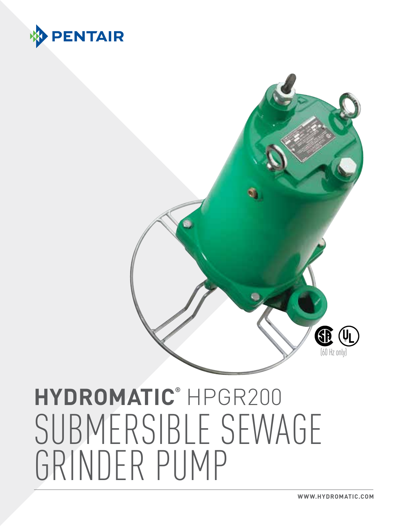



# **Hydromatic®** hpgr200 SUBMERSIBLE SEWAGE grinder pump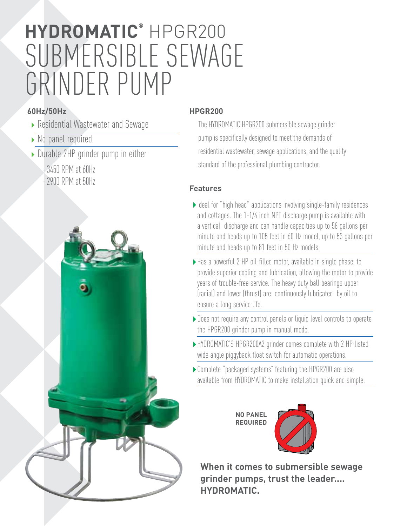## SUBMERSIBLE SEWAGE grinder pump **hydromatic®** hpgr200

## **60Hz/50Hz**

- ► Residential Wastewater and Sewage
- ► No panel required
- ► Durable 2HP grinder pump in either
	- 3450 RPM at 60Hz
	- 2900 RPM at 50Hz



### **HPGR200**

The HYDROMATIC HPGR200 submersible sewage grinder pump is specifically designed to meet the demands of residential wastewater, sewage applications, and the quality standard of the professional plumbing contractor.

## **Features**

- I deal for "high head" applications involving single-family residences and cottages. The 1-1/4 inch NPT discharge pump is available with a vertical discharge and can handle capacities up to 58 gallons per minute and heads up to 105 feet in 60 Hz model, up to 53 gallons per minute and heads up to 81 feet in 50 Hz models.
- Has a powerful 2 HP oil-filled motor, available in single phase, to provide superior cooling and lubrication, allowing the motor to provide years of trouble-free service. The heavy duty ball bearings upper (radial) and lower (thrust) are continuously lubricated by oil to ensure a long service life.
- ▶ Does not require any control panels or liquid level controls to operate the HPGR200 grinder pump in manual mode.
- HYDROMATIC'S HPGR200A2 grinder comes complete with 2 HP listed wide angle piggyback float switch for automatic operations.
- Complete "packaged systems" featuring the HPGR200 are also available from HYDROMATIC to make installation quick and simple.



**When it comes to submersible sewage grinder pumps, trust the leader.... HYDROMATIC .**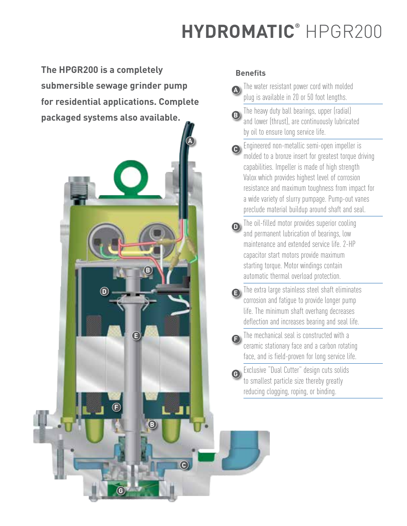## **hydromatic®** hpgr200

**The HPGR200 is a completely submersible sewage grinder pump for residential applications. Complete packaged systems also available.**



#### **Benefits**

- The water resistant power cord with molded plug is available in 20 or 50 foot lengths. **A**
- The heavy duty ball bearings, upper (radial) and lower (thrust), are continuously lubricated by oil to ensure long service life. **B**
- Engineered non-metallic semi-open impeller is **C** molded to a bronze insert for greatest torque driving capabilities. Impeller is made of high strength Valox which provides highest level of corrosion resistance and maximum toughness from impact for a wide variety of slurry pumpage. Pump-out vanes preclude material buildup around shaft and seal.
- The oil-filled motor provides superior cooling **D** and permanent lubrication of bearings, low maintenance and extended service life. 2-HP capacitor start motors provide maximum starting torque. Motor windings contain automatic thermal overload protection.
- The extra large stainless steel shaft eliminates **E** corrosion and fatigue to provide longer pump life. The minimum shaft overhang decreases deflection and increases bearing and seal life.
	- The mechanical seal is constructed with a ceramic stationary face and a carbon rotating face, and is field-proven for long service life.
- Exclusive "Dual Cutter" design cuts solids **G** to smallest particle size thereby greatly reducing clogging, roping, or binding.